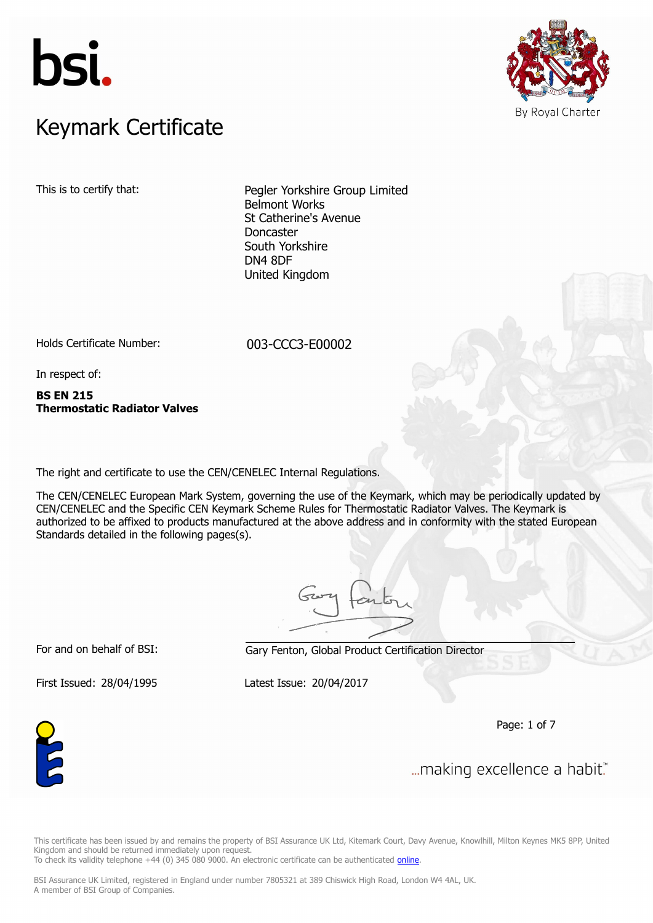



# $K$ eymark Certificate Keymark Certificate

This is to certify that: Pegler Yorkshire Group Limited Belmont Works St Catherine's Avenue Doncaster South Yorkshire DN4 8DF United Kingdom

Holds Certificate Number: 003-CCC3-E00002

In respect of:

**BS EN 215 Thermostatic Radiator Valves**

The right and certificate to use the CEN/CENELEC Internal Regulations.

The CEN/CENELEC European Mark System, governing the use of the Keymark, which may be periodically updated by CEN/CENELEC and the Specific CEN Keymark Scheme Rules for Thermostatic Radiator Valves. The Keymark is authorized to be affixed to products manufactured at the above address and in conformity with the stated European Standards detailed in the following pages(s).

For and on behalf of BSI: Gary Fenton, Global Product Certification Director

First Issued: 28/04/1995 Latest Issue: 20/04/2017

Page: 1 of 7



... making excellence a habit."

This certificate has been issued by and remains the property of BSI Assurance UK Ltd, Kitemark Court, Davy Avenue, Knowlhill, Milton Keynes MK5 8PP, United Kingdom and should be returned immediately upon request. To check its validity telephone +44 (0) 345 080 9000. An electronic certificate can be authenticated *[online](https://pgplus.bsigroup.com/CertificateValidation/CertificateValidator.aspx?CertificateNumber=003-CCC3-E00002&ReIssueDate=20%2f04%2f2017&Template=uk)*.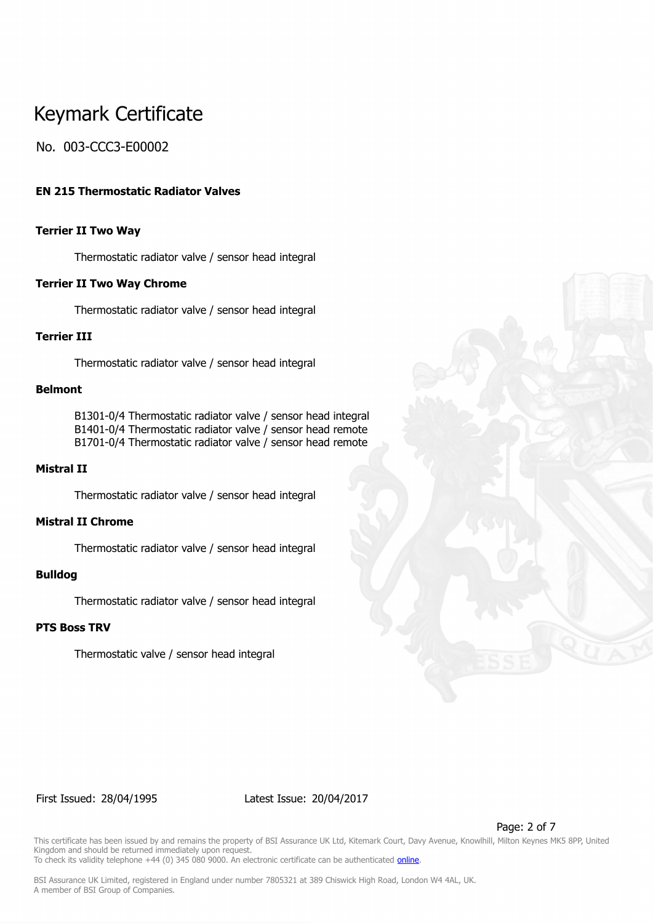# No. 003-CCC3-E00002

### **EN 215 Thermostatic Radiator Valves**

### **Terrier II Two Way**

Thermostatic radiator valve / sensor head integral

### **Terrier II Two Way Chrome**

Thermostatic radiator valve / sensor head integral

### **Terrier III**

Thermostatic radiator valve / sensor head integral

### **Belmont**

B1301-0/4 Thermostatic radiator valve / sensor head integral B1401-0/4 Thermostatic radiator valve / sensor head remote B1701-0/4 Thermostatic radiator valve / sensor head remote

### **Mistral II**

Thermostatic radiator valve / sensor head integral

# **Mistral II Chrome**

Thermostatic radiator valve / sensor head integral

### **Bulldog**

Thermostatic radiator valve / sensor head integral

### **PTS Boss TRV**

Thermostatic valve / sensor head integral

#### First Issued: 28/04/1995 Latest Issue: 20/04/2017

Page: 2 of 7

This certificate has been issued by and remains the property of BSI Assurance UK Ltd, Kitemark Court, Davy Avenue, Knowlhill, Milton Keynes MK5 8PP, United Kingdom and should be returned immediately upon request. To check its validity telephone +44 (0) 345 080 9000. An electronic certificate can be authenticated *[online](https://pgplus.bsigroup.com/CertificateValidation/CertificateValidator.aspx?CertificateNumber=003-CCC3-E00002&ReIssueDate=20%2f04%2f2017&Template=uk)*.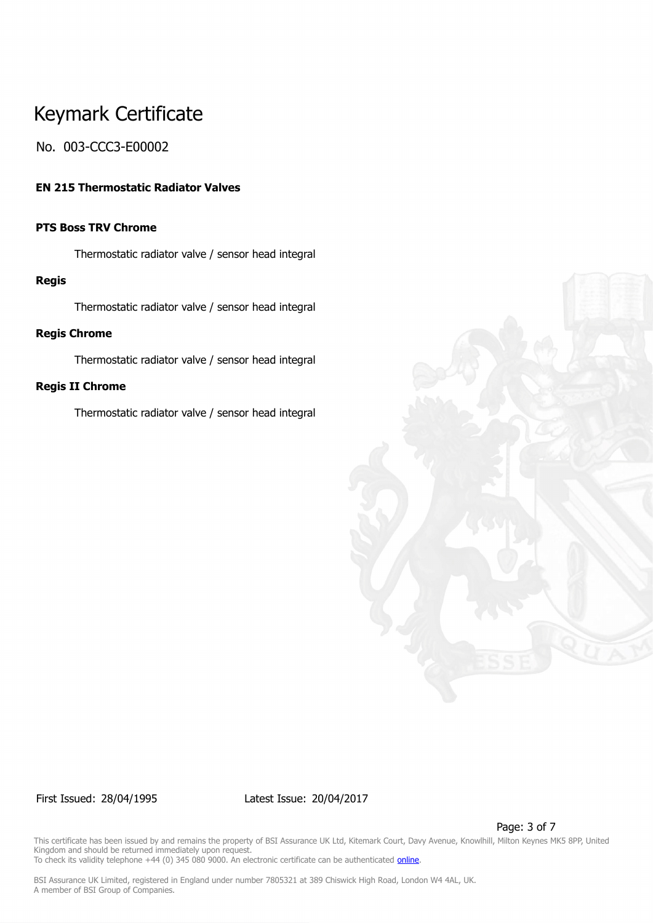# No. 003-CCC3-E00002

### **EN 215 Thermostatic Radiator Valves**

# **PTS Boss TRV Chrome**

Thermostatic radiator valve / sensor head integral

### **Regis**

Thermostatic radiator valve / sensor head integral

### **Regis Chrome**

Thermostatic radiator valve / sensor head integral

### **Regis II Chrome**

Thermostatic radiator valve / sensor head integral



First Issued: 28/04/1995 Latest Issue: 20/04/2017

Page: 3 of 7

This certificate has been issued by and remains the property of BSI Assurance UK Ltd, Kitemark Court, Davy Avenue, Knowlhill, Milton Keynes MK5 8PP, United Kingdom and should be returned immediately upon request. To check its validity telephone +44 (0) 345 080 9000. An electronic certificate can be authenticated *[online](https://pgplus.bsigroup.com/CertificateValidation/CertificateValidator.aspx?CertificateNumber=003-CCC3-E00002&ReIssueDate=20%2f04%2f2017&Template=uk)*.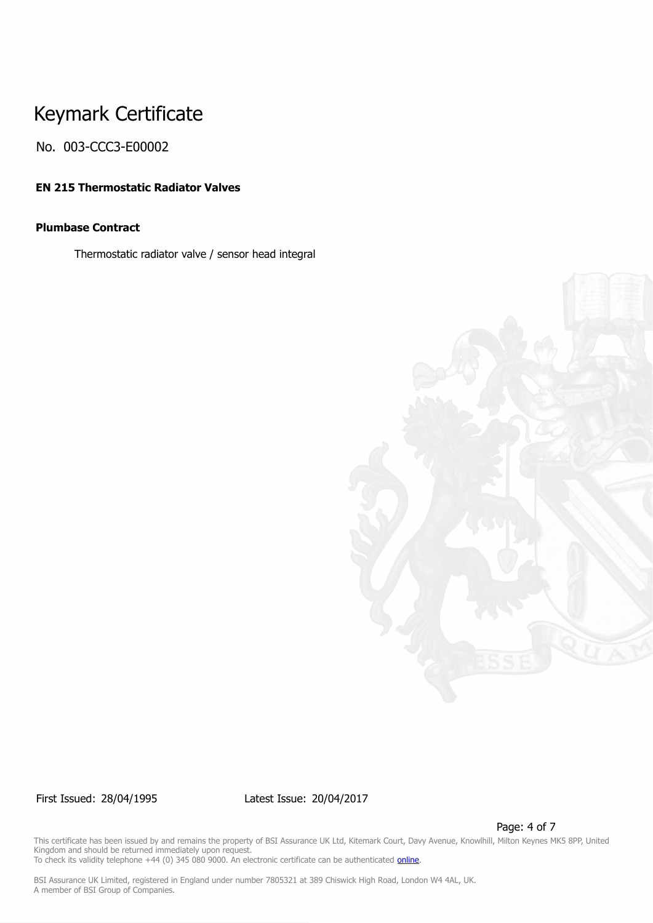No. 003-CCC3-E00002

# **EN 215 Thermostatic Radiator Valves**

# **Plumbase Contract**

Thermostatic radiator valve / sensor head integral



First Issued: 28/04/1995 Latest Issue: 20/04/2017

Page: 4 of 7

This certificate has been issued by and remains the property of BSI Assurance UK Ltd, Kitemark Court, Davy Avenue, Knowlhill, Milton Keynes MK5 8PP, United Kingdom and should be returned immediately upon request. To check its validity telephone +44 (0) 345 080 9000. An electronic certificate can be authenticated *[online](https://pgplus.bsigroup.com/CertificateValidation/CertificateValidator.aspx?CertificateNumber=003-CCC3-E00002&ReIssueDate=20%2f04%2f2017&Template=uk)*.

BSI Assurance UK Limited, registered in England under number 7805321 at 389 Chiswick High Road, London W4 4AL, UK.

A member of BSI Group of Companies.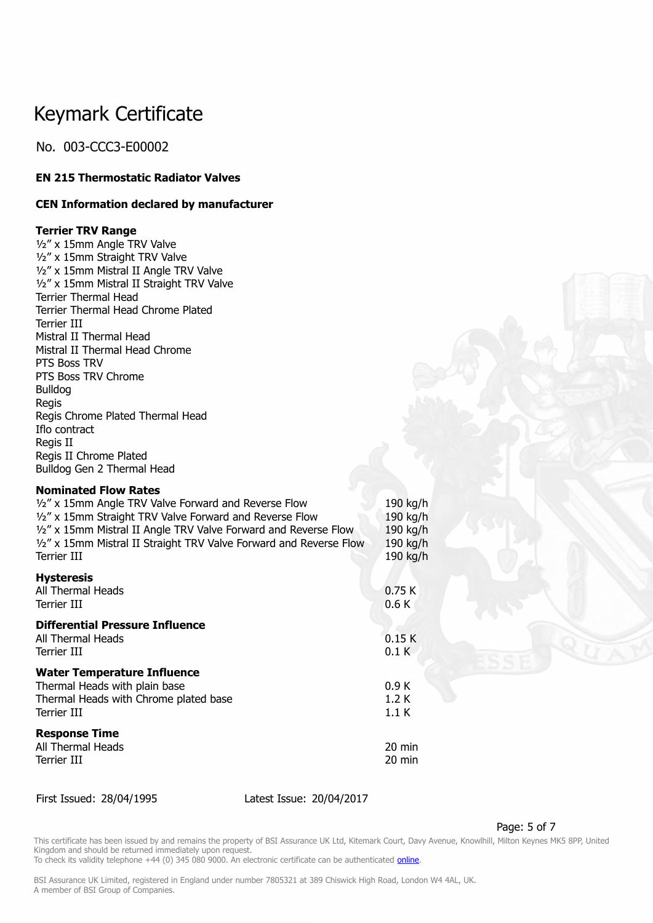No. 003-CCC3-E00002

# **EN 215 Thermostatic Radiator Valves**

### **CEN Information declared by manufacturer**

### **Terrier TRV Range**

½" x 15mm Angle TRV Valve ½" x 15mm Straight TRV Valve ½" x 15mm Mistral II Angle TRV Valve ½" x 15mm Mistral II Straight TRV Valve Terrier Thermal Head Terrier Thermal Head Chrome Plated Terrier III Mistral II Thermal Head Mistral II Thermal Head Chrome PTS Boss TRV PTS Boss TRV Chrome Bulldog Regis Regis Chrome Plated Thermal Head Iflo contract Regis II Regis II Chrome Plated Bulldog Gen 2 Thermal Head

### **Nominated Flow Rates**

| 1/2" x 15mm Angle TRV Valve Forward and Reverse Flow<br>1/2" x 15mm Straight TRV Valve Forward and Reverse Flow<br>1/2" x 15mm Mistral II Angle TRV Valve Forward and Reverse Flow<br>1/2" x 15mm Mistral II Straight TRV Valve Forward and Reverse Flow<br><b>Terrier III</b> | 190 kg/h<br>190 kg/h<br>190 kg/h<br>190 kg/h<br>190 kg/h |
|--------------------------------------------------------------------------------------------------------------------------------------------------------------------------------------------------------------------------------------------------------------------------------|----------------------------------------------------------|
| <b>Hysteresis</b><br>All Thermal Heads<br><b>Terrier III</b>                                                                                                                                                                                                                   | 0.75K<br>0.6K                                            |
| <b>Differential Pressure Influence</b><br>All Thermal Heads<br>Terrier III                                                                                                                                                                                                     | 0.15K<br>0.1K                                            |
| <b>Water Temperature Influence</b><br>Thermal Heads with plain base<br>Thermal Heads with Chrome plated base<br><b>Terrier III</b>                                                                                                                                             | 0.9K<br>1.2K<br>1.1K                                     |
| <b>Response Time</b><br>All Thermal Heads<br><b>Terrier III</b>                                                                                                                                                                                                                | $20 \text{ min}$<br>20 min                               |

First Issued: 28/04/1995 Latest Issue: 20/04/2017

#### Page: 5 of 7

This certificate has been issued by and remains the property of BSI Assurance UK Ltd, Kitemark Court, Davy Avenue, Knowlhill, Milton Keynes MK5 8PP, United Kingdom and should be returned immediately upon request. To check its validity telephone +44 (0) 345 080 9000. An electronic certificate can be authenticated *[online](https://pgplus.bsigroup.com/CertificateValidation/CertificateValidator.aspx?CertificateNumber=003-CCC3-E00002&ReIssueDate=20%2f04%2f2017&Template=uk)*.

BSI Assurance UK Limited, registered in England under number 7805321 at 389 Chiswick High Road, London W4 4AL, UK.

A member of BSI Group of Companies.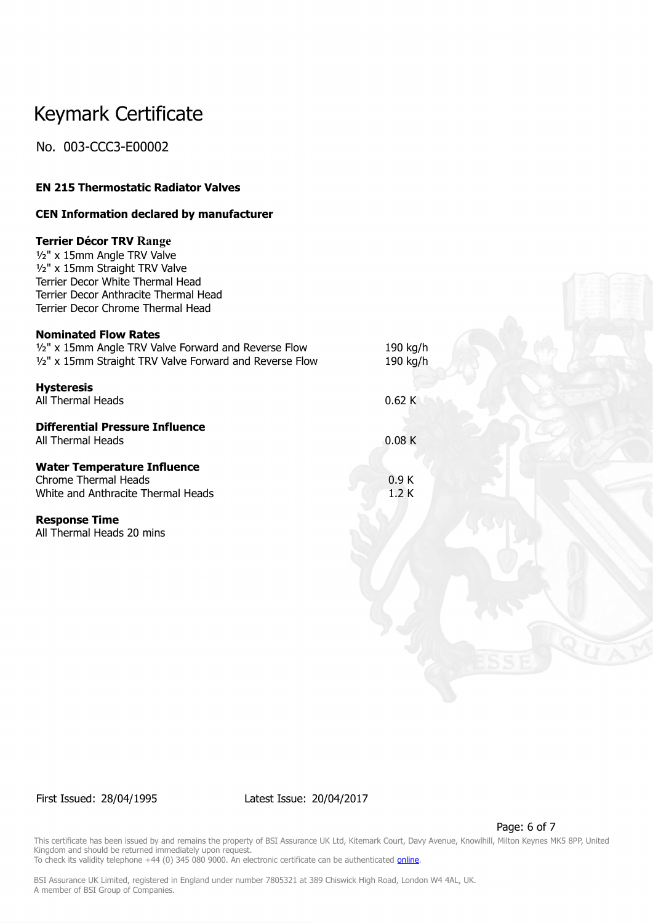No. 003-CCC3-E00002

# **EN 215 Thermostatic Radiator Valves**

### **CEN Information declared by manufacturer**

### **Terrier Décor TRV Range**

½" x 15mm Angle TRV Valve ½" x 15mm Straight TRV Valve Terrier Decor White Thermal Head Terrier Decor Anthracite Thermal Head Terrier Decor Chrome Thermal Head

### **Nominated Flow Rates**

| 1/2" x 15mm Angle TRV Valve Forward and Reverse Flow<br>1/2" x 15mm Straight TRV Valve Forward and Reverse Flow | 190 kg/h<br>190 kg/h |  |
|-----------------------------------------------------------------------------------------------------------------|----------------------|--|
| <b>Hysteresis</b><br>All Thermal Heads                                                                          | 0.62K                |  |
| <b>Differential Pressure Influence</b><br>All Thermal Heads                                                     | 0.08K                |  |
| <b>Water Temperature Influence</b><br><b>Chrome Thermal Heads</b><br>White and Anthracite Thermal Heads         | 0.9K<br>1.2K         |  |

#### **Response Time**

All Thermal Heads 20 mins

First Issued: 28/04/1995 Latest Issue: 20/04/2017

Page: 6 of 7

This certificate has been issued by and remains the property of BSI Assurance UK Ltd, Kitemark Court, Davy Avenue, Knowlhill, Milton Keynes MK5 8PP, United Kingdom and should be returned immediately upon request.

To check its validity telephone +44 (0) 345 080 9000. An electronic certificate can be authenticated *[online](https://pgplus.bsigroup.com/CertificateValidation/CertificateValidator.aspx?CertificateNumber=003-CCC3-E00002&ReIssueDate=20%2f04%2f2017&Template=uk)*.